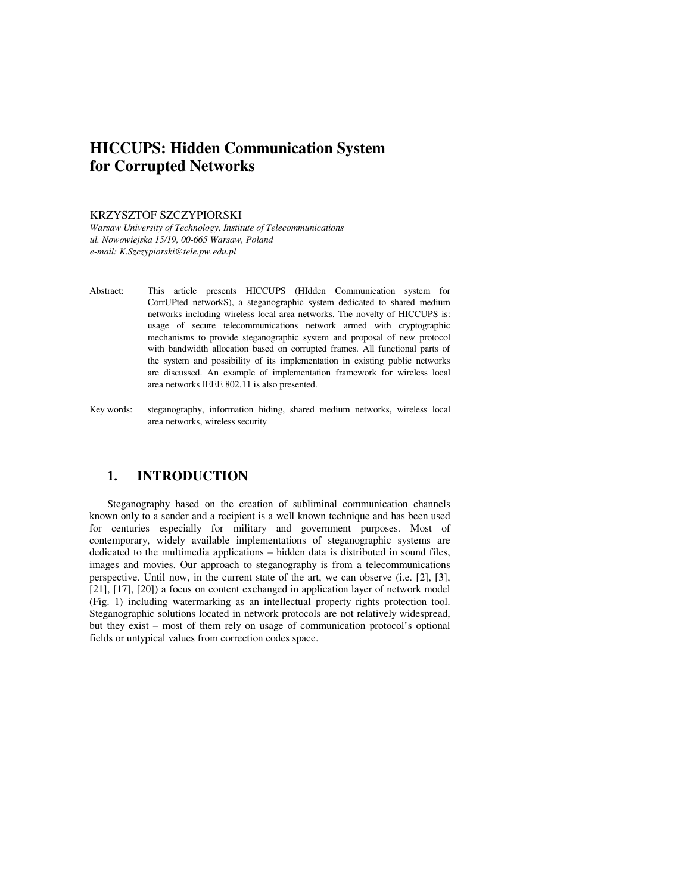# **HICCUPS: Hidden Communication System for Corrupted Networks**

#### KRZYSZTOF SZCZYPIORSKI

*Warsaw University of Technology, Institute of Telecommunications ul. Nowowiejska 15/19, 00-665 Warsaw, Poland e-mail: K.Szczypiorski@tele.pw.edu.pl*

- Abstract: This article presents HICCUPS (HIdden Communication system for CorrUPted networkS), a steganographic system dedicated to shared medium networks including wireless local area networks. The novelty of HICCUPS is: usage of secure telecommunications network armed with cryptographic mechanisms to provide steganographic system and proposal of new protocol with bandwidth allocation based on corrupted frames. All functional parts of the system and possibility of its implementation in existing public networks are discussed. An example of implementation framework for wireless local area networks IEEE 802.11 is also presented.
- Key words: steganography, information hiding, shared medium networks, wireless local area networks, wireless security

#### **1. INTRODUCTION**

Steganography based on the creation of subliminal communication channels known only to a sender and a recipient is a well known technique and has been used for centuries especially for military and government purposes. Most of contemporary, widely available implementations of steganographic systems are dedicated to the multimedia applications – hidden data is distributed in sound files, images and movies. Our approach to steganography is from a telecommunications perspective. Until now, in the current state of the art, we can observe (i.e. [2], [3], [21], [17], [20]) a focus on content exchanged in application layer of network model (Fig. 1) including watermarking as an intellectual property rights protection tool. Steganographic solutions located in network protocols are not relatively widespread, but they exist – most of them rely on usage of communication protocol's optional fields or untypical values from correction codes space.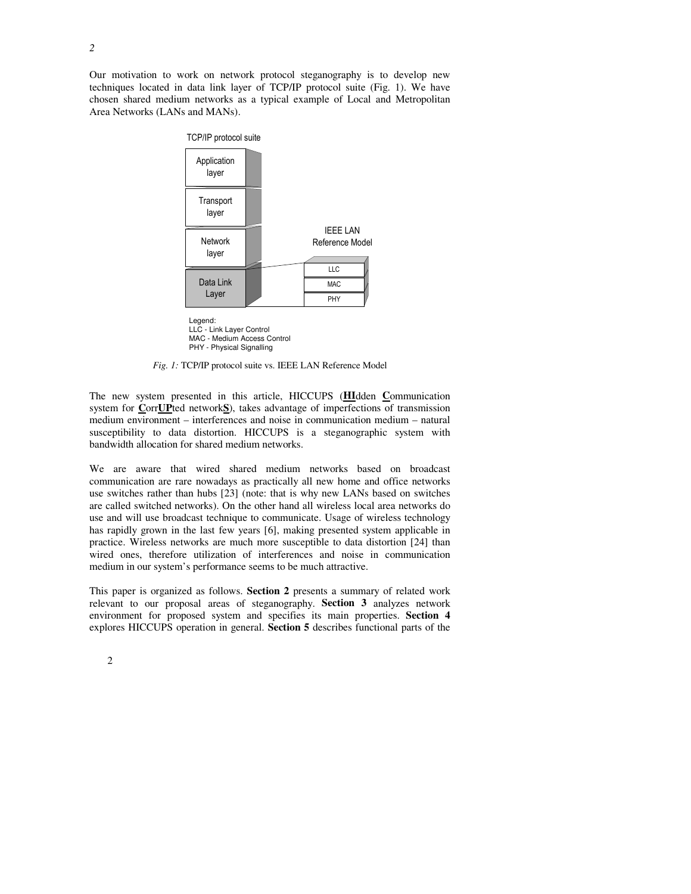Our motivation to work on network protocol steganography is to develop new techniques located in data link layer of TCP/IP protocol suite (Fig. 1). We have chosen shared medium networks as a typical example of Local and Metropolitan Area Networks (LANs and MANs).



LLC - Link Layer Control MAC - Medium Access Control PHY - Physical Signalling

*Fig. 1:* TCP/IP protocol suite vs. IEEE LAN Reference Model

The new system presented in this article, HICCUPS (**HI**dden **C**ommunication system for **C**orr**UP**ted network**S**), takes advantage of imperfections of transmission medium environment – interferences and noise in communication medium – natural susceptibility to data distortion. HICCUPS is a steganographic system with bandwidth allocation for shared medium networks.

We are aware that wired shared medium networks based on broadcast communication are rare nowadays as practically all new home and office networks use switches rather than hubs [23] (note: that is why new LANs based on switches are called switched networks). On the other hand all wireless local area networks do use and will use broadcast technique to communicate. Usage of wireless technology has rapidly grown in the last few years [6], making presented system applicable in practice. Wireless networks are much more susceptible to data distortion [24] than wired ones, therefore utilization of interferences and noise in communication medium in our system's performance seems to be much attractive.

This paper is organized as follows. **Section 2** presents a summary of related work relevant to our proposal areas of steganography. **Section 3** analyzes network environment for proposed system and specifies its main properties. **Section 4** explores HICCUPS operation in general. **Section 5** describes functional parts of the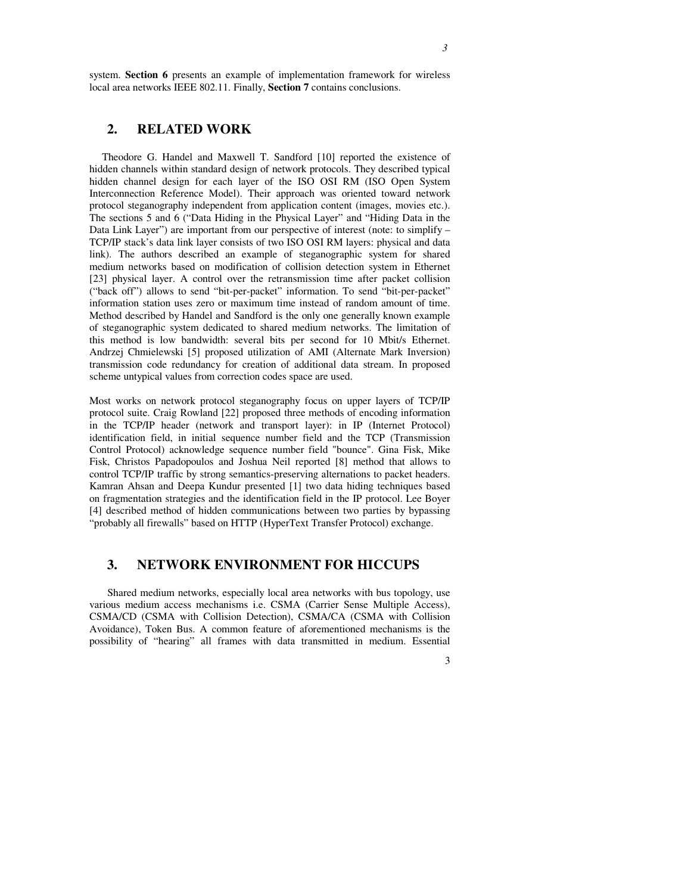system. **Section 6** presents an example of implementation framework for wireless local area networks IEEE 802.11. Finally, **Section 7** contains conclusions.

# **2. RELATED WORK**

Theodore G. Handel and Maxwell T. Sandford [10] reported the existence of hidden channels within standard design of network protocols. They described typical hidden channel design for each layer of the ISO OSI RM (ISO Open System Interconnection Reference Model). Their approach was oriented toward network protocol steganography independent from application content (images, movies etc.). The sections 5 and 6 ("Data Hiding in the Physical Layer" and "Hiding Data in the Data Link Layer") are important from our perspective of interest (note: to simplify – TCP/IP stack's data link layer consists of two ISO OSI RM layers: physical and data link). The authors described an example of steganographic system for shared medium networks based on modification of collision detection system in Ethernet [23] physical layer. A control over the retransmission time after packet collision ("back off") allows to send "bit-per-packet" information. To send "bit-per-packet" information station uses zero or maximum time instead of random amount of time. Method described by Handel and Sandford is the only one generally known example of steganographic system dedicated to shared medium networks. The limitation of this method is low bandwidth: several bits per second for 10 Mbit/s Ethernet. Andrzej Chmielewski [5] proposed utilization of AMI (Alternate Mark Inversion) transmission code redundancy for creation of additional data stream. In proposed scheme untypical values from correction codes space are used.

Most works on network protocol steganography focus on upper layers of TCP/IP protocol suite. Craig Rowland [22] proposed three methods of encoding information in the TCP/IP header (network and transport layer): in IP (Internet Protocol) identification field, in initial sequence number field and the TCP (Transmission Control Protocol) acknowledge sequence number field "bounce". Gina Fisk, Mike Fisk, Christos Papadopoulos and Joshua Neil reported [8] method that allows to control TCP/IP traffic by strong semantics-preserving alternations to packet headers. Kamran Ahsan and Deepa Kundur presented [1] two data hiding techniques based on fragmentation strategies and the identification field in the IP protocol. Lee Boyer [4] described method of hidden communications between two parties by bypassing "probably all firewalls" based on HTTP (HyperText Transfer Protocol) exchange.

## **3. NETWORK ENVIRONMENT FOR HICCUPS**

Shared medium networks, especially local area networks with bus topology, use various medium access mechanisms i.e. CSMA (Carrier Sense Multiple Access), CSMA/CD (CSMA with Collision Detection), CSMA/CA (CSMA with Collision Avoidance), Token Bus. A common feature of aforementioned mechanisms is the possibility of "hearing" all frames with data transmitted in medium. Essential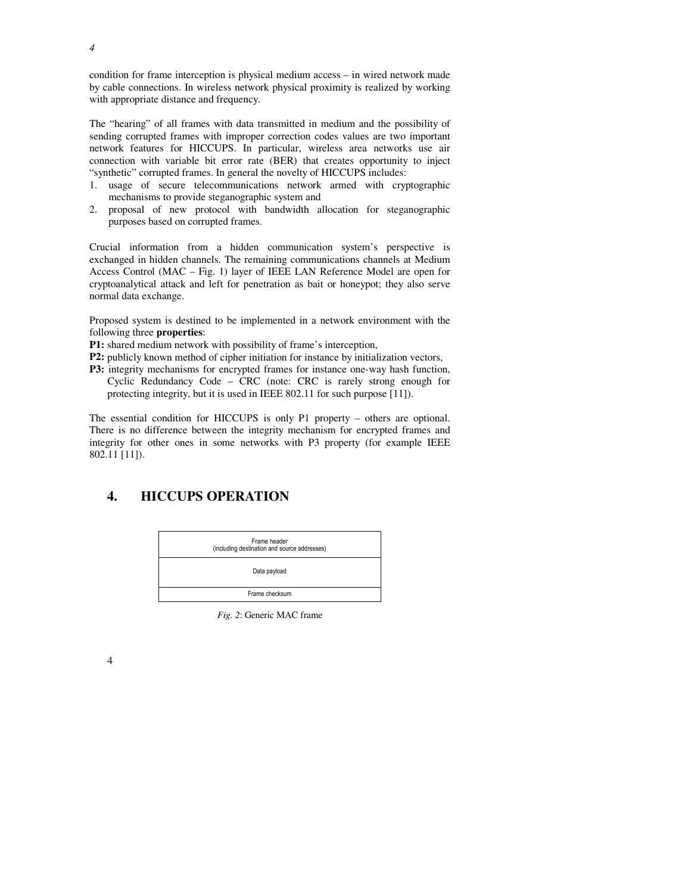condition for frame interception is physical medium access – in wired network made by cable connections. In wireless network physical proximity is realized by working with appropriate distance and frequency.

The "hearing" of all frames with data transmitted in medium and the possibility of sending corrupted frames with improper correction codes values are two important network features for HICCUPS. In particular, wireless area networks use air connection with variable bit error rate (BER) that creates opportunity to inject "synthetic" corrupted frames. In general the novelty of HICCUPS includes:

- 1. usage of secure telecommunications network armed with cryptographic mechanisms to provide steganographic system and
- 2. proposal of new protocol with bandwidth allocation for steganographic purposes based on corrupted frames.

Crucial information from a hidden communication system's perspective is exchanged in hidden channels. The remaining communications channels at Medium Access Control (MAC – Fig. 1) layer of IEEE LAN Reference Model are open for cryptoanalytical attack and left for penetration as bait or honeypot; they also serve normal data exchange.

Proposed system is destined to be implemented in a network environment with the following three **properties**:

**P1:** shared medium network with possibility of frame's interception,

- **P2:** publicly known method of cipher initiation for instance by initialization vectors,
- **P3:** integrity mechanisms for encrypted frames for instance one-way hash function, Cyclic Redundancy Code – CRC (note: CRC is rarely strong enough for protecting integrity, but it is used in IEEE 802.11 for such purpose [11]).

The essential condition for HICCUPS is only P1 property – others are optional. There is no difference between the integrity mechanism for encrypted frames and integrity for other ones in some networks with P3 property (for example IEEE 802.11 [11]).

# **4. HICCUPS OPERATION**



*Fig. 2*: Generic MAC frame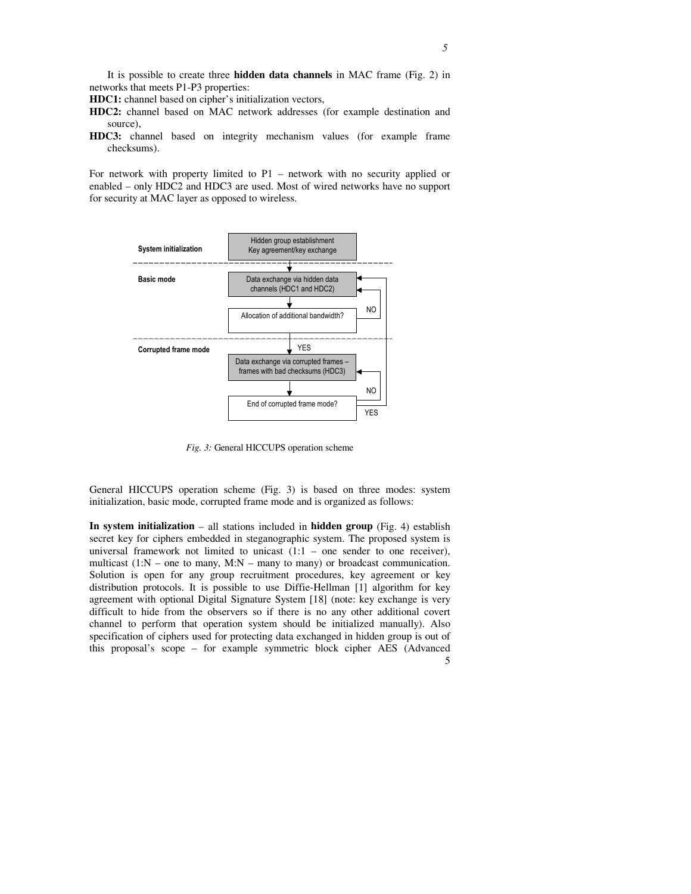It is possible to create three **hidden data channels** in MAC frame (Fig. 2) in networks that meets P1-P3 properties:

**HDC1:** channel based on cipher's initialization vectors,

- **HDC2:** channel based on MAC network addresses (for example destination and source),
- **HDC3:** channel based on integrity mechanism values (for example frame checksums).

For network with property limited to P1 – network with no security applied or enabled – only HDC2 and HDC3 are used. Most of wired networks have no support for security at MAC layer as opposed to wireless.



*Fig. 3:* General HICCUPS operation scheme

General HICCUPS operation scheme (Fig. 3) is based on three modes: system initialization, basic mode, corrupted frame mode and is organized as follows:

5 **In system initialization** – all stations included in **hidden group** (Fig. 4) establish secret key for ciphers embedded in steganographic system. The proposed system is universal framework not limited to unicast  $(1:1 -$  one sender to one receiver), multicast  $(1:N -$  one to many,  $M:N -$  many to many) or broadcast communication. Solution is open for any group recruitment procedures, key agreement or key distribution protocols. It is possible to use Diffie-Hellman [1] algorithm for key agreement with optional Digital Signature System [18] (note: key exchange is very difficult to hide from the observers so if there is no any other additional covert channel to perform that operation system should be initialized manually). Also specification of ciphers used for protecting data exchanged in hidden group is out of this proposal's scope – for example symmetric block cipher AES (Advanced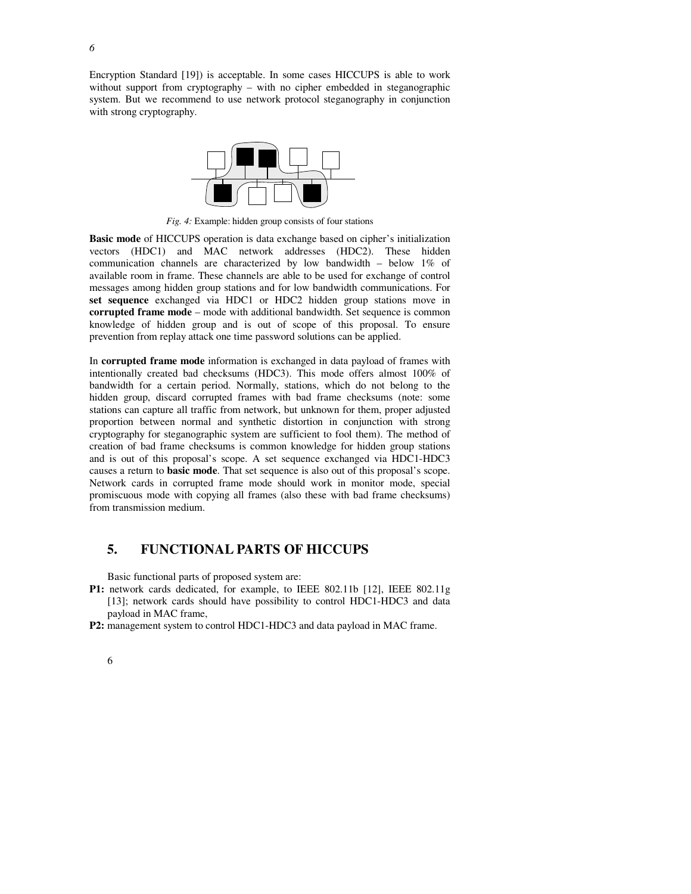Encryption Standard [19]) is acceptable. In some cases HICCUPS is able to work without support from cryptography – with no cipher embedded in steganographic system. But we recommend to use network protocol steganography in conjunction with strong cryptography.



*Fig. 4:* Example: hidden group consists of four stations

**Basic mode** of HICCUPS operation is data exchange based on cipher's initialization vectors (HDC1) and MAC network addresses (HDC2). These hidden communication channels are characterized by low bandwidth – below 1% of available room in frame. These channels are able to be used for exchange of control messages among hidden group stations and for low bandwidth communications. For **set sequence** exchanged via HDC1 or HDC2 hidden group stations move in **corrupted frame mode** – mode with additional bandwidth. Set sequence is common knowledge of hidden group and is out of scope of this proposal. To ensure prevention from replay attack one time password solutions can be applied.

In **corrupted frame mode** information is exchanged in data payload of frames with intentionally created bad checksums (HDC3). This mode offers almost 100% of bandwidth for a certain period. Normally, stations, which do not belong to the hidden group, discard corrupted frames with bad frame checksums (note: some stations can capture all traffic from network, but unknown for them, proper adjusted proportion between normal and synthetic distortion in conjunction with strong cryptography for steganographic system are sufficient to fool them). The method of creation of bad frame checksums is common knowledge for hidden group stations and is out of this proposal's scope. A set sequence exchanged via HDC1-HDC3 causes a return to **basic mode**. That set sequence is also out of this proposal's scope. Network cards in corrupted frame mode should work in monitor mode, special promiscuous mode with copying all frames (also these with bad frame checksums) from transmission medium.

## **5. FUNCTIONAL PARTS OF HICCUPS**

Basic functional parts of proposed system are:

- **P1:** network cards dedicated, for example, to IEEE 802.11b [12], IEEE 802.11g [13]; network cards should have possibility to control HDC1-HDC3 and data payload in MAC frame,
- **P2:** management system to control HDC1-HDC3 and data payload in MAC frame.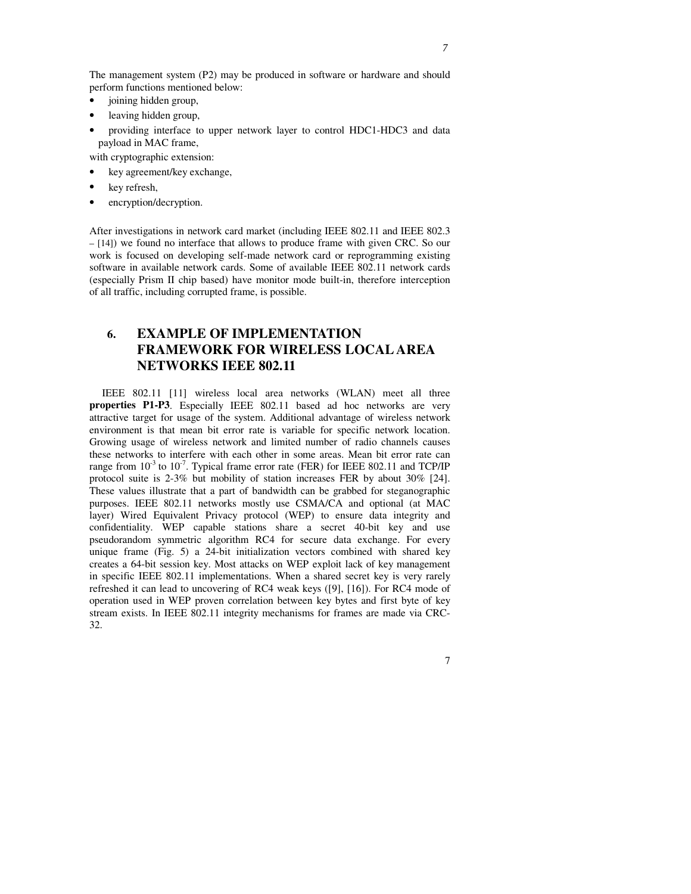- joining hidden group,
- leaving hidden group,
- providing interface to upper network layer to control HDC1-HDC3 and data payload in MAC frame,

with cryptographic extension:

- key agreement/key exchange,
- key refresh,
- encryption/decryption.

After investigations in network card market (including IEEE 802.11 and IEEE 802.3 – [14]) we found no interface that allows to produce frame with given CRC. So our work is focused on developing self-made network card or reprogramming existing software in available network cards. Some of available IEEE 802.11 network cards (especially Prism II chip based) have monitor mode built-in, therefore interception of all traffic, including corrupted frame, is possible.

# **6. EXAMPLE OF IMPLEMENTATION FRAMEWORK FOR WIRELESS LOCAL AREA NETWORKS IEEE 802.11**

IEEE 802.11 [11] wireless local area networks (WLAN) meet all three **properties P1-P3**. Especially IEEE 802.11 based ad hoc networks are very attractive target for usage of the system. Additional advantage of wireless network environment is that mean bit error rate is variable for specific network location. Growing usage of wireless network and limited number of radio channels causes these networks to interfere with each other in some areas. Mean bit error rate can range from  $10^{-3}$  to  $10^{-7}$ . Typical frame error rate (FER) for IEEE 802.11 and TCP/IP protocol suite is 2-3% but mobility of station increases FER by about 30% [24]. These values illustrate that a part of bandwidth can be grabbed for steganographic purposes. IEEE 802.11 networks mostly use CSMA/CA and optional (at MAC layer) Wired Equivalent Privacy protocol (WEP) to ensure data integrity and confidentiality. WEP capable stations share a secret 40-bit key and use pseudorandom symmetric algorithm RC4 for secure data exchange. For every unique frame (Fig. 5) a 24-bit initialization vectors combined with shared key creates a 64-bit session key. Most attacks on WEP exploit lack of key management in specific IEEE 802.11 implementations. When a shared secret key is very rarely refreshed it can lead to uncovering of RC4 weak keys ([9], [16]). For RC4 mode of operation used in WEP proven correlation between key bytes and first byte of key stream exists. In IEEE 802.11 integrity mechanisms for frames are made via CRC-32.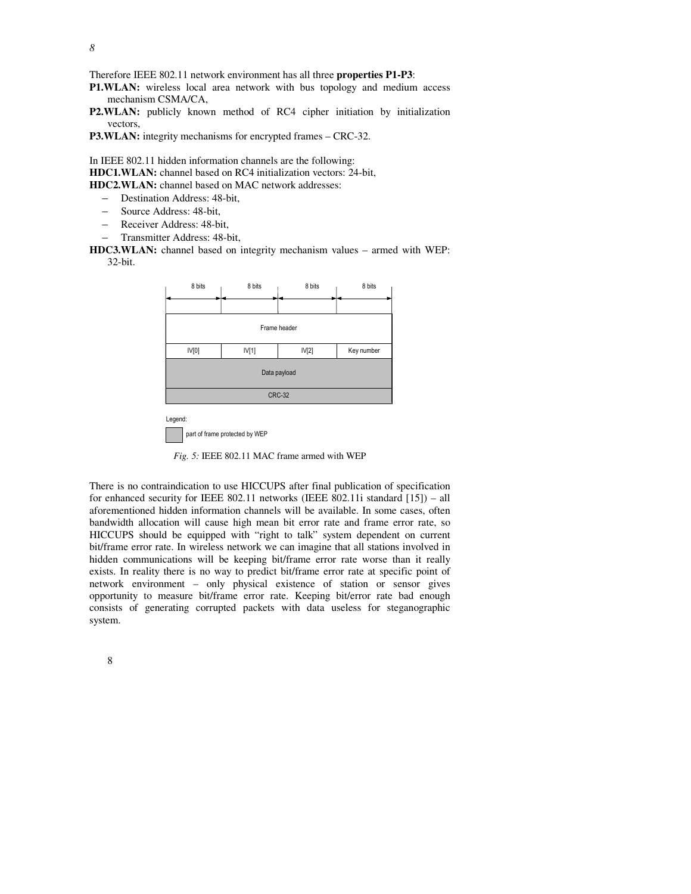Therefore IEEE 802.11 network environment has all three **properties P1-P3**:

**P1.WLAN:** wireless local area network with bus topology and medium access mechanism CSMA/CA,

**P2.WLAN:** publicly known method of RC4 cipher initiation by initialization vectors,

**P3.WLAN:** integrity mechanisms for encrypted frames – CRC-32.

In IEEE 802.11 hidden information channels are the following: **HDC1.WLAN:** channel based on RC4 initialization vectors: 24-bit, **HDC2.WLAN:** channel based on MAC network addresses:

– Destination Address: 48-bit,

- Source Address: 48-bit,
- Receiver Address: 48-bit,
- Transmitter Address: 48-bit,

**HDC3.WLAN:** channel based on integrity mechanism values – armed with WEP: 32-bit.



*Fig. 5:* IEEE 802.11 MAC frame armed with WEP

part of frame protected by WEF

There is no contraindication to use HICCUPS after final publication of specification for enhanced security for IEEE 802.11 networks (IEEE 802.11i standard [15]) – all aforementioned hidden information channels will be available. In some cases, often bandwidth allocation will cause high mean bit error rate and frame error rate, so HICCUPS should be equipped with "right to talk" system dependent on current bit/frame error rate. In wireless network we can imagine that all stations involved in hidden communications will be keeping bit/frame error rate worse than it really exists. In reality there is no way to predict bit/frame error rate at specific point of network environment – only physical existence of station or sensor gives opportunity to measure bit/frame error rate. Keeping bit/error rate bad enough consists of generating corrupted packets with data useless for steganographic system.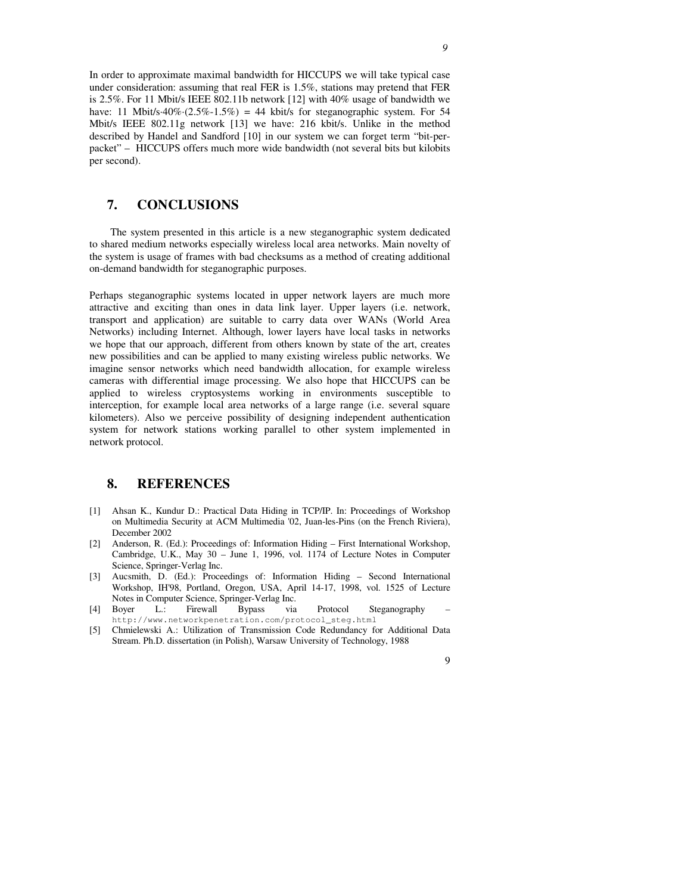In order to approximate maximal bandwidth for HICCUPS we will take typical case under consideration: assuming that real FER is 1.5%, stations may pretend that FER is 2.5%. For 11 Mbit/s IEEE 802.11b network [12] with 40% usage of bandwidth we have: 11 Mbit/s·40%·(2.5%-1.5%) = 44 kbit/s for steganographic system. For 54 Mbit/s IEEE 802.11g network [13] we have: 216 kbit/s. Unlike in the method described by Handel and Sandford [10] in our system we can forget term "bit-perpacket" – HICCUPS offers much more wide bandwidth (not several bits but kilobits per second).

# **7. CONCLUSIONS**

The system presented in this article is a new steganographic system dedicated to shared medium networks especially wireless local area networks. Main novelty of the system is usage of frames with bad checksums as a method of creating additional on-demand bandwidth for steganographic purposes.

Perhaps steganographic systems located in upper network layers are much more attractive and exciting than ones in data link layer. Upper layers (i.e. network, transport and application) are suitable to carry data over WANs (World Area Networks) including Internet. Although, lower layers have local tasks in networks we hope that our approach, different from others known by state of the art, creates new possibilities and can be applied to many existing wireless public networks. We imagine sensor networks which need bandwidth allocation, for example wireless cameras with differential image processing. We also hope that HICCUPS can be applied to wireless cryptosystems working in environments susceptible to interception, for example local area networks of a large range (i.e. several square kilometers). Also we perceive possibility of designing independent authentication system for network stations working parallel to other system implemented in network protocol.

#### **8. REFERENCES**

- [1] Ahsan K., Kundur D.: Practical Data Hiding in TCP/IP. In: Proceedings of Workshop on Multimedia Security at ACM Multimedia '02, Juan-les-Pins (on the French Riviera), December 2002
- [2] Anderson, R. (Ed.): Proceedings of: Information Hiding First International Workshop, Cambridge, U.K., May 30 – June 1, 1996, vol. 1174 of Lecture Notes in Computer Science, Springer-Verlag Inc.
- [3] Aucsmith, D. (Ed.): Proceedings of: Information Hiding Second International Workshop, IH'98, Portland, Oregon, USA, April 14-17, 1998, vol. 1525 of Lecture Notes in Computer Science, Springer-Verlag Inc.
- [4] Boyer L.: Firewall Bypass via Protocol Steganography http://www.networkpenetration.com/protocol\_steg.html
- [5] Chmielewski A.: Utilization of Transmission Code Redundancy for Additional Data Stream. Ph.D. dissertation (in Polish), Warsaw University of Technology, 1988

*9*